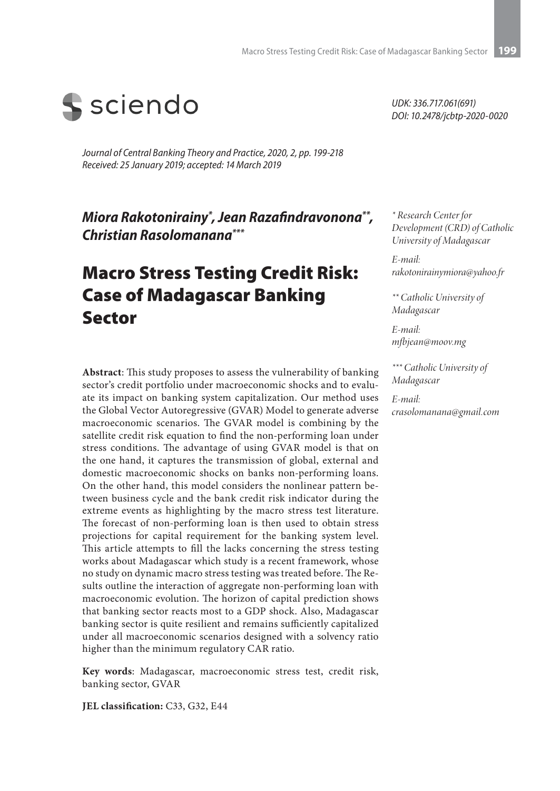

*Journal of Central Banking Theory and Practice, 2020, 2, pp. 199-218 Received: 25 January 2019; accepted: 14 March 2019*

*Miora Rakotonirainy\* , Jean Razafindravonona\*\*, Christian Rasolomanana\*\*\**

# Macro Stress Testing Credit Risk: Case of Madagascar Banking Sector

**Abstract**: This study proposes to assess the vulnerability of banking sector's credit portfolio under macroeconomic shocks and to evaluate its impact on banking system capitalization. Our method uses the Global Vector Autoregressive (GVAR) Model to generate adverse macroeconomic scenarios. The GVAR model is combining by the satellite credit risk equation to find the non-performing loan under stress conditions. The advantage of using GVAR model is that on the one hand, it captures the transmission of global, external and domestic macroeconomic shocks on banks non-performing loans. On the other hand, this model considers the nonlinear pattern between business cycle and the bank credit risk indicator during the extreme events as highlighting by the macro stress test literature. The forecast of non-performing loan is then used to obtain stress projections for capital requirement for the banking system level. This article attempts to fill the lacks concerning the stress testing works about Madagascar which study is a recent framework, whose no study on dynamic macro stress testing was treated before. The Results outline the interaction of aggregate non-performing loan with macroeconomic evolution. The horizon of capital prediction shows that banking sector reacts most to a GDP shock. Also, Madagascar banking sector is quite resilient and remains sufficiently capitalized under all macroeconomic scenarios designed with a solvency ratio higher than the minimum regulatory CAR ratio.

**Key words**: Madagascar, macroeconomic stress test, credit risk, banking sector, GVAR

**JEL classification:** C33, G32, E44

*UDK: 336.717.061(691) DOI: 10.2478/jcbtp-2020-0020*

*\* Research Center for Development (CRD) of Catholic University of Madagascar*

*E-mail: rakotonirainymiora@yahoo.fr*

*\*\* Catholic University of Madagascar*

*E-mail: mfbjean@moov.mg* 

*\*\*\* Catholic University of Madagascar*

*E-mail: crasolomanana@gmail.com*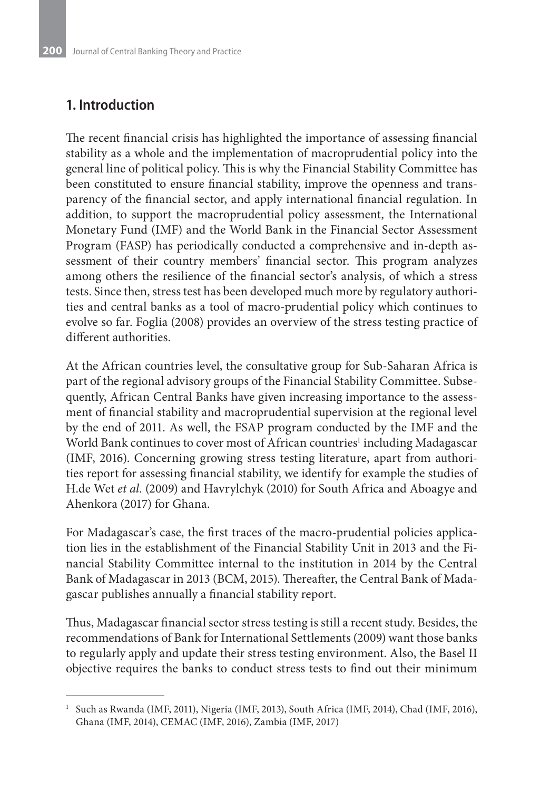## **1. Introduction**

The recent financial crisis has highlighted the importance of assessing financial stability as a whole and the implementation of macroprudential policy into the general line of political policy. This is why the Financial Stability Committee has been constituted to ensure financial stability, improve the openness and transparency of the financial sector, and apply international financial regulation. In addition, to support the macroprudential policy assessment, the International Monetary Fund (IMF) and the World Bank in the Financial Sector Assessment Program (FASP) has periodically conducted a comprehensive and in-depth assessment of their country members' financial sector. This program analyzes among others the resilience of the financial sector's analysis, of which a stress tests. Since then, stress test has been developed much more by regulatory authorities and central banks as a tool of macro-prudential policy which continues to evolve so far. Foglia (2008) provides an overview of the stress testing practice of different authorities.

At the African countries level, the consultative group for Sub-Saharan Africa is part of the regional advisory groups of the Financial Stability Committee. Subsequently, African Central Banks have given increasing importance to the assessment of financial stability and macroprudential supervision at the regional level by the end of 2011. As well, the FSAP program conducted by the IMF and the World Bank continues to cover most of African countries<sup>1</sup> including Madagascar (IMF, 2016). Concerning growing stress testing literature, apart from authorities report for assessing financial stability, we identify for example the studies of H.de Wet *et al.* (2009) and Havrylchyk (2010) for South Africa and Aboagye and Ahenkora (2017) for Ghana.

For Madagascar's case, the first traces of the macro-prudential policies application lies in the establishment of the Financial Stability Unit in 2013 and the Financial Stability Committee internal to the institution in 2014 by the Central Bank of Madagascar in 2013 (BCM, 2015). Thereafter, the Central Bank of Madagascar publishes annually a financial stability report.

Thus, Madagascar financial sector stress testing is still a recent study. Besides, the recommendations of Bank for International Settlements (2009) want those banks to regularly apply and update their stress testing environment. Also, the Basel II objective requires the banks to conduct stress tests to find out their minimum

<sup>&</sup>lt;sup>1</sup> Such as Rwanda (IMF, 2011), Nigeria (IMF, 2013), South Africa (IMF, 2014), Chad (IMF, 2016), Ghana (IMF, 2014), CEMAC (IMF, 2016), Zambia (IMF, 2017)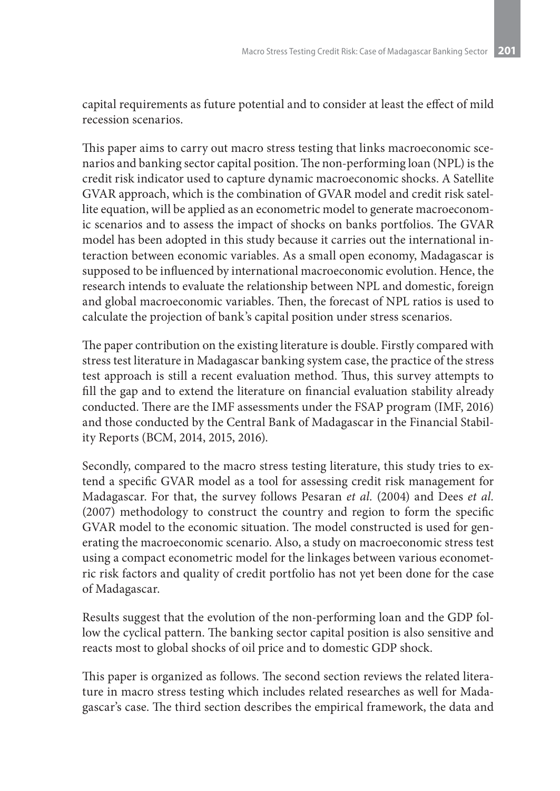capital requirements as future potential and to consider at least the effect of mild recession scenarios.

This paper aims to carry out macro stress testing that links macroeconomic scenarios and banking sector capital position. The non-performing loan (NPL) is the credit risk indicator used to capture dynamic macroeconomic shocks. A Satellite GVAR approach, which is the combination of GVAR model and credit risk satellite equation, will be applied as an econometric model to generate macroeconomic scenarios and to assess the impact of shocks on banks portfolios. The GVAR model has been adopted in this study because it carries out the international interaction between economic variables. As a small open economy, Madagascar is supposed to be influenced by international macroeconomic evolution. Hence, the research intends to evaluate the relationship between NPL and domestic, foreign and global macroeconomic variables. Then, the forecast of NPL ratios is used to calculate the projection of bank's capital position under stress scenarios.

The paper contribution on the existing literature is double. Firstly compared with stress test literature in Madagascar banking system case, the practice of the stress test approach is still a recent evaluation method. Thus, this survey attempts to fill the gap and to extend the literature on financial evaluation stability already conducted. There are the IMF assessments under the FSAP program (IMF, 2016) and those conducted by the Central Bank of Madagascar in the Financial Stability Reports (BCM, 2014, 2015, 2016).

Secondly, compared to the macro stress testing literature, this study tries to extend a specific GVAR model as a tool for assessing credit risk management for Madagascar. For that, the survey follows Pesaran *et al.* (2004) and Dees *et al.* (2007) methodology to construct the country and region to form the specific GVAR model to the economic situation. The model constructed is used for generating the macroeconomic scenario. Also, a study on macroeconomic stress test using a compact econometric model for the linkages between various econometric risk factors and quality of credit portfolio has not yet been done for the case of Madagascar.

Results suggest that the evolution of the non-performing loan and the GDP follow the cyclical pattern. The banking sector capital position is also sensitive and reacts most to global shocks of oil price and to domestic GDP shock.

This paper is organized as follows. The second section reviews the related literature in macro stress testing which includes related researches as well for Madagascar's case. The third section describes the empirical framework, the data and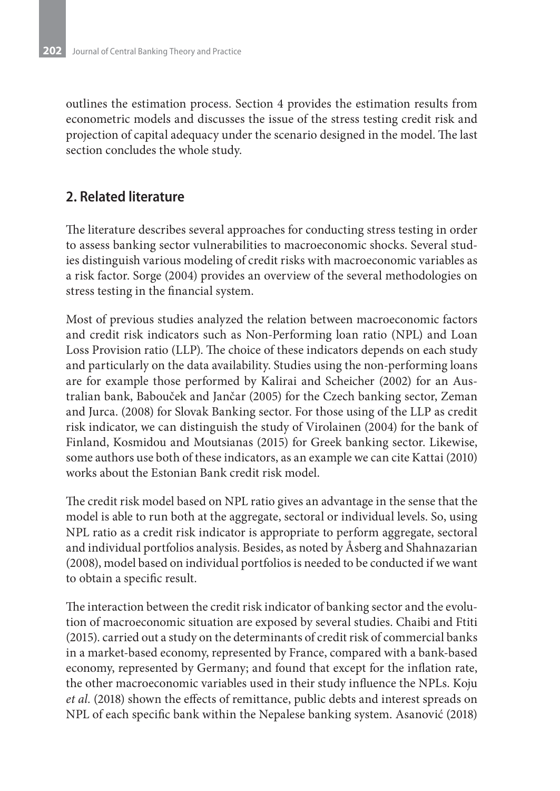outlines the estimation process. Section 4 provides the estimation results from econometric models and discusses the issue of the stress testing credit risk and projection of capital adequacy under the scenario designed in the model. The last section concludes the whole study.

### **2. Related literature**

The literature describes several approaches for conducting stress testing in order to assess banking sector vulnerabilities to macroeconomic shocks. Several studies distinguish various modeling of credit risks with macroeconomic variables as a risk factor. Sorge (2004) provides an overview of the several methodologies on stress testing in the financial system.

Most of previous studies analyzed the relation between macroeconomic factors and credit risk indicators such as Non-Performing loan ratio (NPL) and Loan Loss Provision ratio (LLP). The choice of these indicators depends on each study and particularly on the data availability. Studies using the non-performing loans are for example those performed by Kalirai and Scheicher (2002) for an Australian bank, Babouček and Jančar (2005) for the Czech banking sector, Zeman and Jurca. (2008) for Slovak Banking sector. For those using of the LLP as credit risk indicator, we can distinguish the study of Virolainen (2004) for the bank of Finland, Kosmidou and Moutsianas (2015) for Greek banking sector. Likewise, some authors use both of these indicators, as an example we can cite Kattai (2010) works about the Estonian Bank credit risk model.

The credit risk model based on NPL ratio gives an advantage in the sense that the model is able to run both at the aggregate, sectoral or individual levels. So, using NPL ratio as a credit risk indicator is appropriate to perform aggregate, sectoral and individual portfolios analysis. Besides, as noted by Åsberg and Shahnazarian (2008), model based on individual portfolios is needed to be conducted if we want to obtain a specific result.

The interaction between the credit risk indicator of banking sector and the evolution of macroeconomic situation are exposed by several studies. Chaibi and Ftiti (2015). carried out a study on the determinants of credit risk of commercial banks in a market-based economy, represented by France, compared with a bank-based economy, represented by Germany; and found that except for the inflation rate, the other macroeconomic variables used in their study influence the NPLs. Koju *et al.* (2018) shown the effects of remittance, public debts and interest spreads on NPL of each specific bank within the Nepalese banking system. Asanović (2018)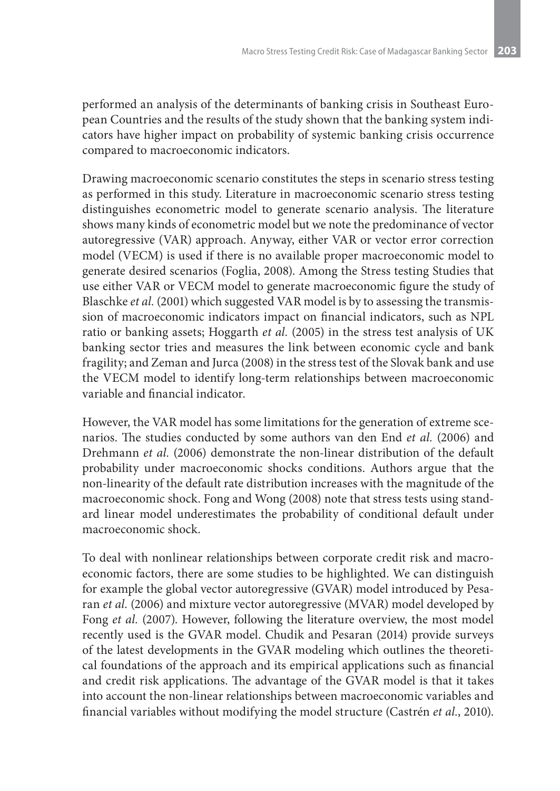performed an analysis of the determinants of banking crisis in Southeast European Countries and the results of the study shown that the banking system indicators have higher impact on probability of systemic banking crisis occurrence compared to macroeconomic indicators.

Drawing macroeconomic scenario constitutes the steps in scenario stress testing as performed in this study. Literature in macroeconomic scenario stress testing distinguishes econometric model to generate scenario analysis. The literature shows many kinds of econometric model but we note the predominance of vector autoregressive (VAR) approach. Anyway, either VAR or vector error correction model (VECM) is used if there is no available proper macroeconomic model to generate desired scenarios (Foglia, 2008). Among the Stress testing Studies that use either VAR or VECM model to generate macroeconomic figure the study of Blaschke *et al.* (2001) which suggested VAR model is by to assessing the transmission of macroeconomic indicators impact on financial indicators, such as NPL ratio or banking assets; Hoggarth *et al.* (2005) in the stress test analysis of UK banking sector tries and measures the link between economic cycle and bank fragility; and Zeman and Jurca (2008) in the stress test of the Slovak bank and use the VECM model to identify long-term relationships between macroeconomic variable and financial indicator.

However, the VAR model has some limitations for the generation of extreme scenarios. The studies conducted by some authors van den End *et al.* (2006) and Drehmann *et al.* (2006) demonstrate the non-linear distribution of the default probability under macroeconomic shocks conditions. Authors argue that the non-linearity of the default rate distribution increases with the magnitude of the macroeconomic shock. Fong and Wong (2008) note that stress tests using standard linear model underestimates the probability of conditional default under macroeconomic shock.

To deal with nonlinear relationships between corporate credit risk and macroeconomic factors, there are some studies to be highlighted. We can distinguish for example the global vector autoregressive (GVAR) model introduced by Pesaran *et al.* (2006) and mixture vector autoregressive (MVAR) model developed by Fong *et al.* (2007). However, following the literature overview, the most model recently used is the GVAR model. Chudik and Pesaran (2014) provide surveys of the latest developments in the GVAR modeling which outlines the theoretical foundations of the approach and its empirical applications such as financial and credit risk applications. The advantage of the GVAR model is that it takes into account the non-linear relationships between macroeconomic variables and financial variables without modifying the model structure (Castrén *et al.*, 2010).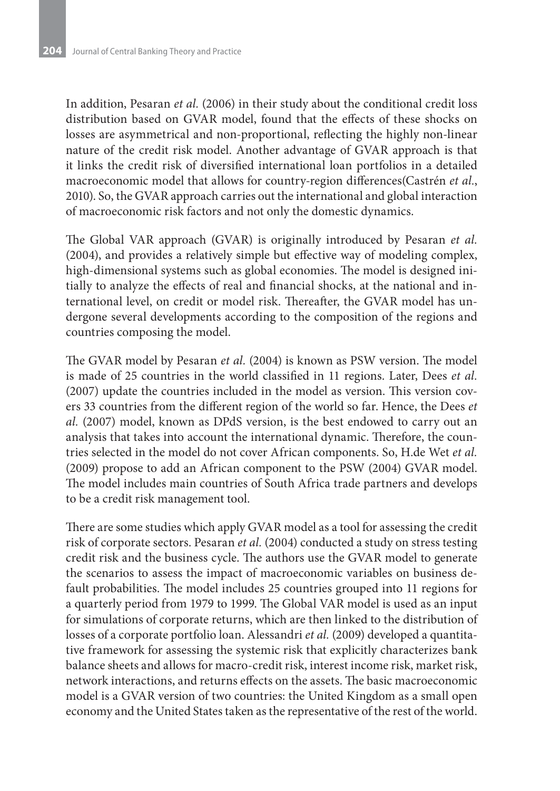In addition, Pesaran *et al.* (2006) in their study about the conditional credit loss distribution based on GVAR model, found that the effects of these shocks on losses are asymmetrical and non-proportional, reflecting the highly non-linear nature of the credit risk model. Another advantage of GVAR approach is that it links the credit risk of diversified international loan portfolios in a detailed macroeconomic model that allows for country-region differences(Castrén *et al.*, 2010). So, the GVAR approach carries out the international and global interaction of macroeconomic risk factors and not only the domestic dynamics.

The Global VAR approach (GVAR) is originally introduced by Pesaran *et al.* (2004), and provides a relatively simple but effective way of modeling complex, high-dimensional systems such as global economies. The model is designed initially to analyze the effects of real and financial shocks, at the national and international level, on credit or model risk. Thereafter, the GVAR model has undergone several developments according to the composition of the regions and countries composing the model.

The GVAR model by Pesaran *et al.* (2004) is known as PSW version. The model is made of 25 countries in the world classified in 11 regions. Later, Dees *et al.* (2007) update the countries included in the model as version. This version covers 33 countries from the different region of the world so far. Hence, the Dees *et al.* (2007) model, known as DPdS version, is the best endowed to carry out an analysis that takes into account the international dynamic. Therefore, the countries selected in the model do not cover African components. So, H.de Wet *et al.* (2009) propose to add an African component to the PSW (2004) GVAR model. The model includes main countries of South Africa trade partners and develops to be a credit risk management tool.

There are some studies which apply GVAR model as a tool for assessing the credit risk of corporate sectors. Pesaran *et al.* (2004) conducted a study on stress testing credit risk and the business cycle. The authors use the GVAR model to generate the scenarios to assess the impact of macroeconomic variables on business default probabilities. The model includes 25 countries grouped into 11 regions for a quarterly period from 1979 to 1999. The Global VAR model is used as an input for simulations of corporate returns, which are then linked to the distribution of losses of a corporate portfolio loan. Alessandri *et al.* (2009) developed a quantitative framework for assessing the systemic risk that explicitly characterizes bank balance sheets and allows for macro-credit risk, interest income risk, market risk, network interactions, and returns effects on the assets. The basic macroeconomic model is a GVAR version of two countries: the United Kingdom as a small open economy and the United States taken as the representative of the rest of the world.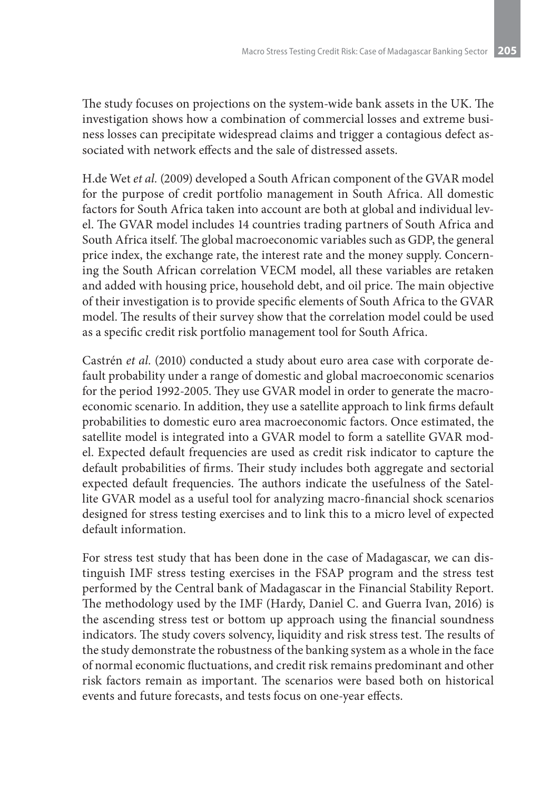The study focuses on projections on the system-wide bank assets in the UK. The investigation shows how a combination of commercial losses and extreme business losses can precipitate widespread claims and trigger a contagious defect associated with network effects and the sale of distressed assets.

H.de Wet *et al.* (2009) developed a South African component of the GVAR model for the purpose of credit portfolio management in South Africa. All domestic factors for South Africa taken into account are both at global and individual level. The GVAR model includes 14 countries trading partners of South Africa and South Africa itself. The global macroeconomic variables such as GDP, the general price index, the exchange rate, the interest rate and the money supply. Concerning the South African correlation VECM model, all these variables are retaken and added with housing price, household debt, and oil price. The main objective of their investigation is to provide specific elements of South Africa to the GVAR model. The results of their survey show that the correlation model could be used as a specific credit risk portfolio management tool for South Africa.

Castrén *et al.* (2010) conducted a study about euro area case with corporate default probability under a range of domestic and global macroeconomic scenarios for the period 1992-2005. They use GVAR model in order to generate the macroeconomic scenario. In addition, they use a satellite approach to link firms default probabilities to domestic euro area macroeconomic factors. Once estimated, the satellite model is integrated into a GVAR model to form a satellite GVAR model. Expected default frequencies are used as credit risk indicator to capture the default probabilities of firms. Their study includes both aggregate and sectorial expected default frequencies. The authors indicate the usefulness of the Satellite GVAR model as a useful tool for analyzing macro-financial shock scenarios designed for stress testing exercises and to link this to a micro level of expected default information.

For stress test study that has been done in the case of Madagascar, we can distinguish IMF stress testing exercises in the FSAP program and the stress test performed by the Central bank of Madagascar in the Financial Stability Report. The methodology used by the IMF (Hardy, Daniel C. and Guerra Ivan, 2016) is the ascending stress test or bottom up approach using the financial soundness indicators. The study covers solvency, liquidity and risk stress test. The results of the study demonstrate the robustness of the banking system as a whole in the face of normal economic fluctuations, and credit risk remains predominant and other risk factors remain as important. The scenarios were based both on historical events and future forecasts, and tests focus on one-year effects.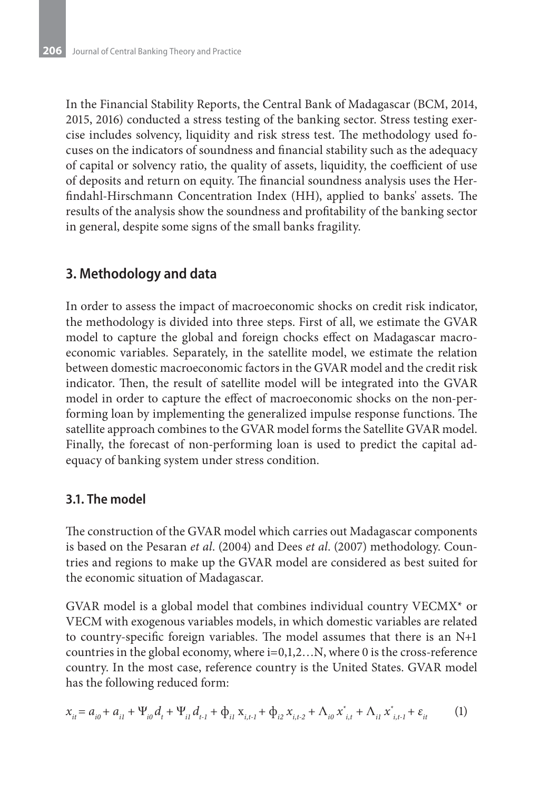In the Financial Stability Reports, the Central Bank of Madagascar (BCM, 2014, 2015, 2016) conducted a stress testing of the banking sector. Stress testing exercise includes solvency, liquidity and risk stress test. The methodology used focuses on the indicators of soundness and financial stability such as the adequacy of capital or solvency ratio, the quality of assets, liquidity, the coefficient of use of deposits and return on equity. The financial soundness analysis uses the Herfindahl-Hirschmann Concentration Index (HH), applied to banks' assets. The results of the analysis show the soundness and profitability of the banking sector in general, despite some signs of the small banks fragility.

### **3. Methodology and data**

In order to assess the impact of macroeconomic shocks on credit risk indicator, the methodology is divided into three steps. First of all, we estimate the GVAR model to capture the global and foreign chocks effect on Madagascar macroeconomic variables. Separately, in the satellite model, we estimate the relation between domestic macroeconomic factors in the GVAR model and the credit risk indicator. Then, the result of satellite model will be integrated into the GVAR model in order to capture the effect of macroeconomic shocks on the non-performing loan by implementing the generalized impulse response functions. The satellite approach combines to the GVAR model forms the Satellite GVAR model. Finally, the forecast of non-performing loan is used to predict the capital adequacy of banking system under stress condition.

### **3.1. The model**

The construction of the GVAR model which carries out Madagascar components is based on the Pesaran *et al*. (2004) and Dees *et al*. (2007) methodology. Countries and regions to make up the GVAR model are considered as best suited for the economic situation of Madagascar.

GVAR model is a global model that combines individual country VECMX\* or VECM with exogenous variables models, in which domestic variables are related to country-specific foreign variables. The model assumes that there is an N+1 countries in the global economy, where  $i=0,1,2...N$ , where 0 is the cross-reference country. In the most case, reference country is the United States. GVAR model has the following reduced form:

$$
x_{it} = a_{i0} + a_{i1} + \Psi_{i0} d_t + \Psi_{i1} d_{t-1} + \Phi_{i1} x_{i,t-1} + \Phi_{i2} x_{i,t-2} + \Lambda_{i0} x_{i,t}^* + \Lambda_{i1} x_{i,t-1}^* + \varepsilon_{it}
$$
 (1)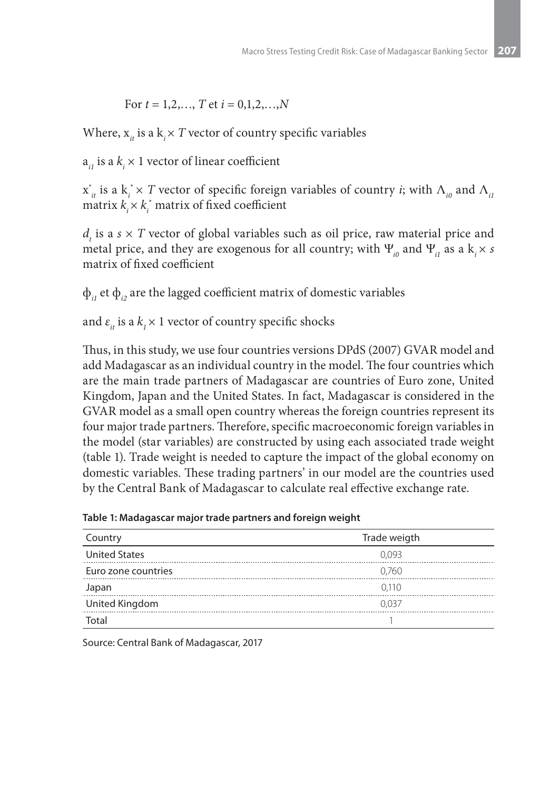For 
$$
t = 1, 2, ..., T
$$
 et  $i = 0, 1, 2, ..., N$ 

Where,  $\mathbf{x}_{it}$  is a  $\mathbf{k}_i \times T$  vector of country specific variables

 $a_{i}$  is a  $k_i \times 1$  vector of linear coefficient

 $x^*_{it}$  is a  $k^*_i \times T$  vector of specific foreign variables of country *i*; with  $\Lambda_{i0}$  and  $\Lambda_{i1}$ matrix  $k_i \times k_i^*$  matrix of fixed coefficient

 $d_t$  is a  $s \times T$  vector of global variables such as oil price, raw material price and metal price, and they are exogenous for all country; with  $\Psi_{i0}$  and  $\Psi_{i1}$  as a k<sub>i</sub> × *s* matrix of fixed coefficient

 $\Phi_{ij}$  et  $\Phi_{ij}$  are the lagged coefficient matrix of domestic variables

and  $\varepsilon_{it}$  is a  $k_1 \times 1$  vector of country specific shocks

Thus, in this study, we use four countries versions DPdS (2007) GVAR model and add Madagascar as an individual country in the model. The four countries which are the main trade partners of Madagascar are countries of Euro zone, United Kingdom, Japan and the United States. In fact, Madagascar is considered in the GVAR model as a small open country whereas the foreign countries represent its four major trade partners. Therefore, specific macroeconomic foreign variables in the model (star variables) are constructed by using each associated trade weight (table 1). Trade weight is needed to capture the impact of the global economy on domestic variables. These trading partners' in our model are the countries used by the Central Bank of Madagascar to calculate real effective exchange rate.

**Table 1: Madagascar major trade partners and foreign weight**

| Country              | Trade weigth |
|----------------------|--------------|
| <b>United States</b> | 0.093        |
| Euro zone countries  | 0.760        |
| Japan                | 0.110        |
| United Kingdom       | 0.037        |
| Total                |              |

Source: Central Bank of Madagascar, 2017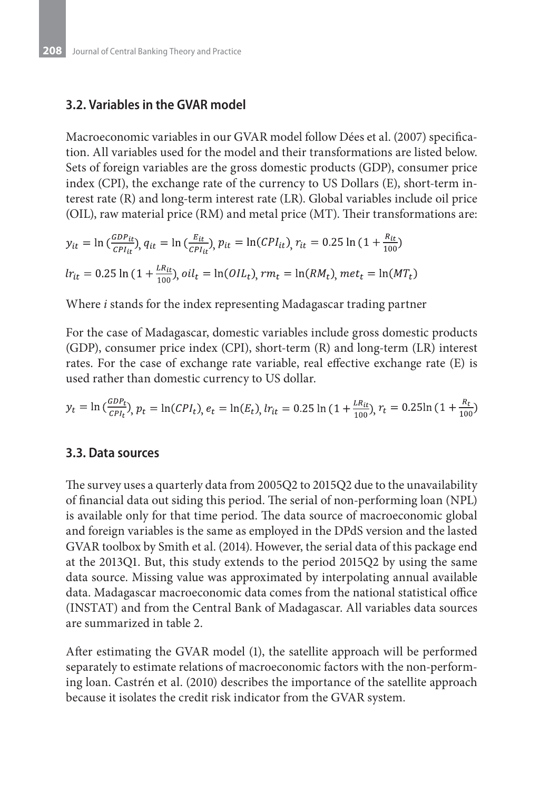#### **3.2. Variables in the GVAR model**

Macroeconomic variables in our GVAR model follow Dées et al. (2007) specification. All variables used for the model and their transformations are listed below. Sets of foreign variables are the gross domestic products (GDP), consumer price index (CPI), the exchange rate of the currency to US Dollars (E), short-term interest rate (R) and long-term interest rate (LR). Global variables include oil price (OIL), raw material price (RM) and metal price (MT). Their transformations are:

$$
y_{it} = \ln\left(\frac{GDP_{it}}{CPI_{it}}\right), q_{it} = \ln\left(\frac{E_{it}}{CPI_{it}}\right), p_{it} = \ln(CPI_{it}), r_{it} = 0.25 \ln\left(1 + \frac{R_{it}}{100}\right)
$$
  

$$
lr_{it} = 0.25 \ln\left(1 + \frac{LR_{it}}{100}\right), oil_t = \ln(OIL_t), rm_t = \ln(RM_t), met_t = \ln(MT_t)
$$

Where *i* stands for the index representing Madagascar trading partner

For the case of Madagascar, domestic variables include gross domestic products (GDP), consumer price index (CPI), short-term (R) and long-term (LR) interest rates. For the case of exchange rate variable, real effective exchange rate (E) is used rather than domestic currency to US dollar.

$$
y_t = \ln\left(\frac{GDP_t}{CPI_t}\right), p_t = \ln(CPI_t), e_t = \ln(E_t), lr_{it} = 0.25 \ln\left(1 + \frac{LR_{it}}{100}\right), r_t = 0.25 \ln\left(1 + \frac{R_t}{100}\right)
$$

#### **3.3. Data sources**

The survey uses a quarterly data from 2005Q2 to 2015Q2 due to the unavailability of financial data out siding this period. The serial of non-performing loan (NPL) is available only for that time period. The data source of macroeconomic global and foreign variables is the same as employed in the DPdS version and the lasted GVAR toolbox by Smith et al. (2014). However, the serial data of this package end at the 2013Q1. But, this study extends to the period 2015Q2 by using the same data source. Missing value was approximated by interpolating annual available data. Madagascar macroeconomic data comes from the national statistical office (INSTAT) and from the Central Bank of Madagascar. All variables data sources are summarized in table 2.

After estimating the GVAR model (1), the satellite approach will be performed separately to estimate relations of macroeconomic factors with the non-performing loan. Castrén et al. (2010) describes the importance of the satellite approach because it isolates the credit risk indicator from the GVAR system.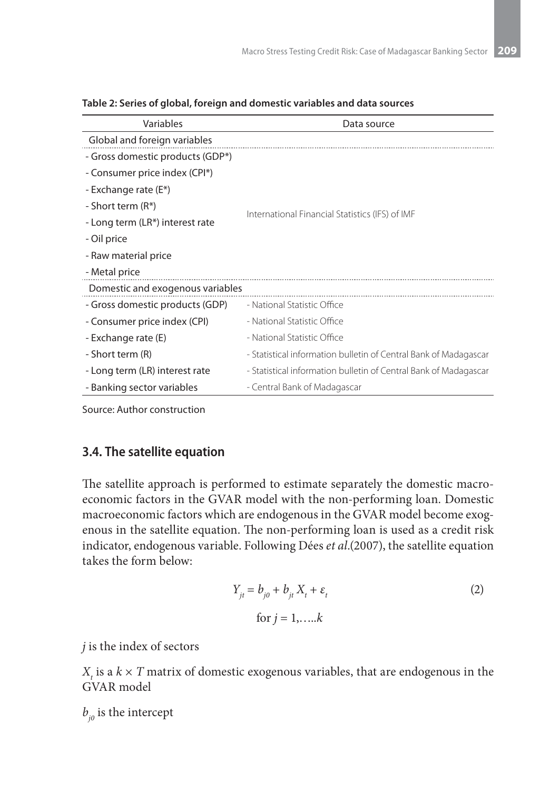| Variables                        | Data source                                                      |  |  |  |
|----------------------------------|------------------------------------------------------------------|--|--|--|
| Global and foreign variables     |                                                                  |  |  |  |
| - Gross domestic products (GDP*) |                                                                  |  |  |  |
| - Consumer price index (CPI*)    |                                                                  |  |  |  |
| - Exchange rate (E*)             |                                                                  |  |  |  |
| - Short term (R*)                |                                                                  |  |  |  |
| - Long term (LR*) interest rate  | International Financial Statistics (IFS) of IMF                  |  |  |  |
| - Oil price                      |                                                                  |  |  |  |
| - Raw material price             |                                                                  |  |  |  |
| - Metal price                    |                                                                  |  |  |  |
| Domestic and exogenous variables |                                                                  |  |  |  |
| - Gross domestic products (GDP)  | - National Statistic Office                                      |  |  |  |
| - Consumer price index (CPI)     | - National Statistic Office                                      |  |  |  |
| - Exchange rate (E)              | - National Statistic Office                                      |  |  |  |
| - Short term (R)                 | - Statistical information bulletin of Central Bank of Madagascar |  |  |  |
| - Long term (LR) interest rate   | - Statistical information bulletin of Central Bank of Madagascar |  |  |  |
| - Banking sector variables       | - Central Bank of Madagascar                                     |  |  |  |

| Table 2: Series of global, foreign and domestic variables and data sources |  |  |
|----------------------------------------------------------------------------|--|--|
|                                                                            |  |  |

Source: Author construction

#### **3.4. The satellite equation**

The satellite approach is performed to estimate separately the domestic macroeconomic factors in the GVAR model with the non-performing loan. Domestic macroeconomic factors which are endogenous in the GVAR model become exogenous in the satellite equation. The non-performing loan is used as a credit risk indicator, endogenous variable. Following Dées *et al*.(2007), the satellite equation takes the form below:

$$
Y_{jt} = b_{j0} + b_{jt} X_t + \varepsilon_t
$$
  
for  $j = 1, \dots, k$  (2)

*j* is the index of sectors

 $X_t$  is a  $k \times T$  matrix of domestic exogenous variables, that are endogenous in the GVAR model

 $b_{i0}$  is the intercept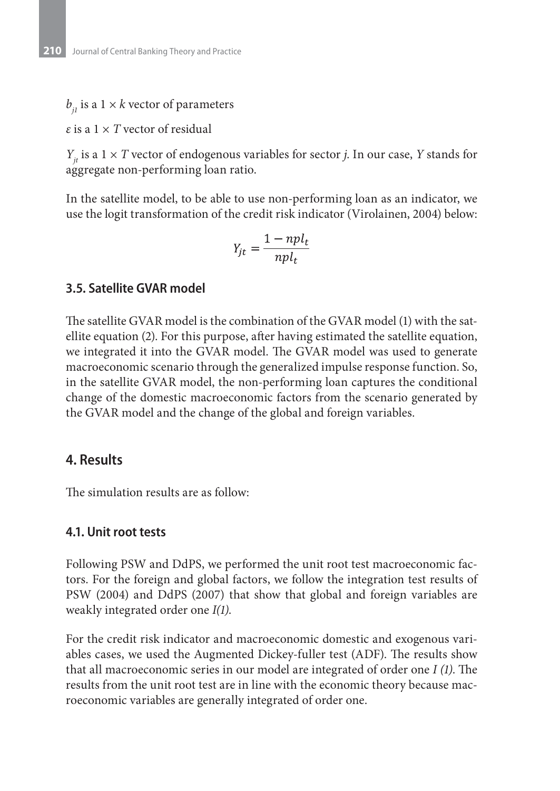$b_{ij}$  is a 1 × *k* vector of parameters

*ε* is a 1 × *T* vector of residual

*Y<sub>it</sub>* is a 1  $\times$  *T* vector of endogenous variables for sector *j*. In our case, *Y* stands for aggregate non-performing loan ratio.

In the satellite model, to be able to use non-performing loan as an indicator, we use the logit transformation of the credit risk indicator (Virolainen, 2004) below:

$$
Y_{jt} = \frac{1 - npl_t}{npl_t}
$$

#### **3.5. Satellite GVAR model**

The satellite GVAR model is the combination of the GVAR model (1) with the satellite equation (2). For this purpose, after having estimated the satellite equation, we integrated it into the GVAR model. The GVAR model was used to generate macroeconomic scenario through the generalized impulse response function. So, in the satellite GVAR model, the non-performing loan captures the conditional change of the domestic macroeconomic factors from the scenario generated by the GVAR model and the change of the global and foreign variables.

### **4. Results**

The simulation results are as follow:

#### **4.1. Unit root tests**

Following PSW and DdPS, we performed the unit root test macroeconomic factors. For the foreign and global factors, we follow the integration test results of PSW (2004) and DdPS (2007) that show that global and foreign variables are weakly integrated order one *I(1)*.

For the credit risk indicator and macroeconomic domestic and exogenous variables cases, we used the Augmented Dickey-fuller test (ADF). The results show that all macroeconomic series in our model are integrated of order one *I (1)*. The results from the unit root test are in line with the economic theory because macroeconomic variables are generally integrated of order one.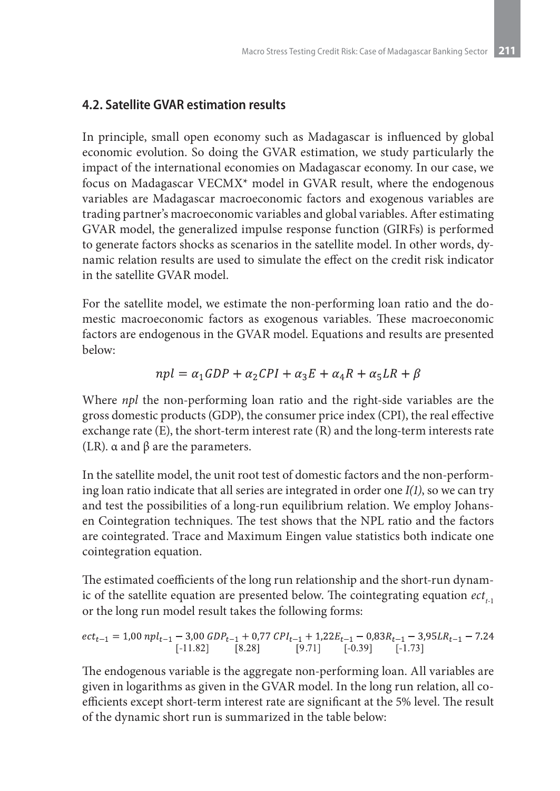### **4.2. Satellite GVAR estimation results**

In principle, small open economy such as Madagascar is influenced by global economic evolution. So doing the GVAR estimation, we study particularly the impact of the international economies on Madagascar economy. In our case, we focus on Madagascar VECMX\* model in GVAR result, where the endogenous variables are Madagascar macroeconomic factors and exogenous variables are trading partner's macroeconomic variables and global variables. After estimating GVAR model, the generalized impulse response function (GIRFs) is performed to generate factors shocks as scenarios in the satellite model. In other words, dynamic relation results are used to simulate the effect on the credit risk indicator in the satellite GVAR model.

For the satellite model, we estimate the non-performing loan ratio and the domestic macroeconomic factors as exogenous variables. These macroeconomic factors are endogenous in the GVAR model. Equations and results are presented below:

$$
npl = \alpha_1 GDP + \alpha_2 CPI + \alpha_3 E + \alpha_4 R + \alpha_5 LR + \beta
$$

Where *npl* the non-performing loan ratio and the right-side variables are the gross domestic products (GDP), the consumer price index (CPI), the real effective exchange rate (E), the short-term interest rate (R) and the long-term interests rate (LR).  $\alpha$  and  $\beta$  are the parameters.

In the satellite model, the unit root test of domestic factors and the non-performing loan ratio indicate that all series are integrated in order one *I(1)*, so we can try and test the possibilities of a long-run equilibrium relation. We employ Johansen Cointegration techniques. The test shows that the NPL ratio and the factors are cointegrated. Trace and Maximum Eingen value statistics both indicate one cointegration equation.

The estimated coefficients of the long run relationship and the short-run dynamic of the satellite equation are presented below. The cointegrating equation  $ect_{t+1}$ or the long run model result takes the following forms:

$$
ect_{t-1} = 1{,}00\;npl_{t-1} - 3{,}00\;GDP_{t-1} + 0{,}77\;CPI_{t-1} + 1{,}22E_{t-1} - 0{,}83R_{t-1} - 3{,}95LR_{t-1} - 7.24 \newline \hbox{\small{[-11.82]}} \hspace{1cm} [8.28] \hspace{1cm} [9.71] \hspace{1cm} [-0.39] \hspace{1cm} [-1.73]
$$

The endogenous variable is the aggregate non-performing loan. All variables are given in logarithms as given in the GVAR model. In the long run relation, all coefficients except short-term interest rate are significant at the 5% level. The result of the dynamic short run is summarized in the table below: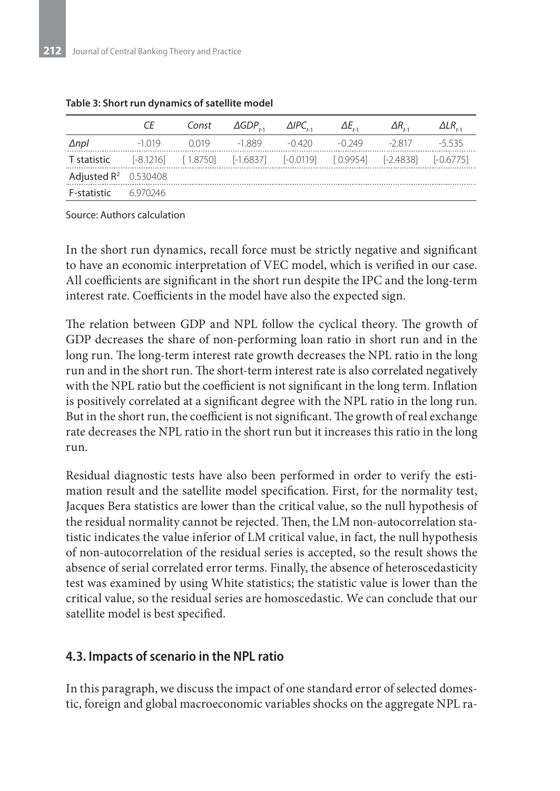|                                                                                        | Const | $\triangle GDP_{\cdot}, \triangle ABC_{\cdot},$ | $\Delta E_{\mu}$ | $\Delta R_{\ldots}$ | $\Delta LR_{\star}$ |
|----------------------------------------------------------------------------------------|-------|-------------------------------------------------|------------------|---------------------|---------------------|
| $\Delta$ npl                                                                           |       | $-1019$ $0.019$ $-1889$ $-0.420$                | -0.249 -2.817    |                     | -5 535              |
| <b>T statistic</b> [-8.1216] [1.8750] [-1.6837] [-0.0119] [0.9954] [-2.4838] [-0.6775] |       |                                                 |                  |                     |                     |
| Adjusted $R^2$ 0.530408                                                                |       |                                                 |                  |                     |                     |
| <b>F-statistic</b> 6.970246                                                            |       |                                                 |                  |                     |                     |

#### **Table 3: Short run dynamics of satellite model**

Source: Authors calculation

In the short run dynamics, recall force must be strictly negative and significant to have an economic interpretation of VEC model, which is verified in our case. All coefficients are significant in the short run despite the IPC and the long-term interest rate. Coefficients in the model have also the expected sign.

The relation between GDP and NPL follow the cyclical theory. The growth of GDP decreases the share of non-performing loan ratio in short run and in the long run. The long-term interest rate growth decreases the NPL ratio in the long run and in the short run. The short-term interest rate is also correlated negatively with the NPL ratio but the coefficient is not significant in the long term. Inflation is positively correlated at a significant degree with the NPL ratio in the long run. But in the short run, the coefficient is not significant. The growth of real exchange rate decreases the NPL ratio in the short run but it increases this ratio in the long run.

Residual diagnostic tests have also been performed in order to verify the estimation result and the satellite model specification. First, for the normality test, Jacques Bera statistics are lower than the critical value, so the null hypothesis of the residual normality cannot be rejected. Then, the LM non-autocorrelation statistic indicates the value inferior of LM critical value, in fact, the null hypothesis of non-autocorrelation of the residual series is accepted, so the result shows the absence of serial correlated error terms. Finally, the absence of heteroscedasticity test was examined by using White statistics; the statistic value is lower than the critical value, so the residual series are homoscedastic. We can conclude that our satellite model is best specified.

#### **4.3. Impacts of scenario in the NPL ratio**

In this paragraph, we discuss the impact of one standard error of selected domestic, foreign and global macroeconomic variables shocks on the aggregate NPL ra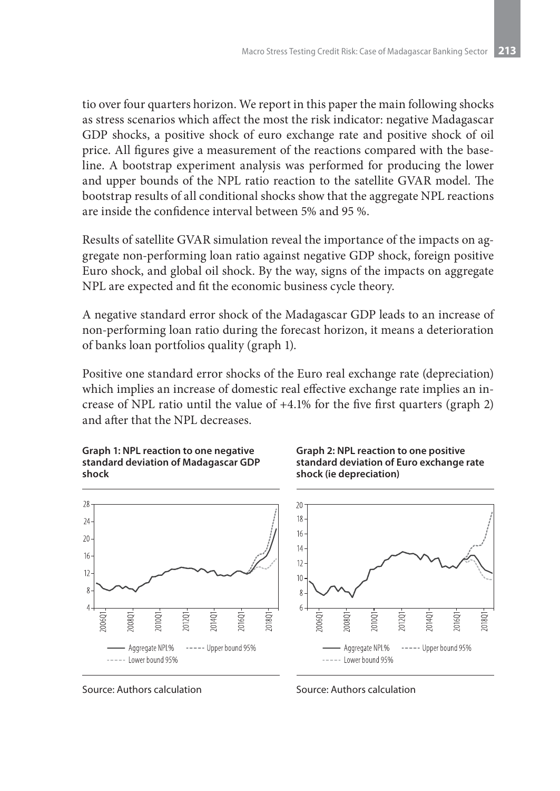tio over four quarters horizon. We report in this paper the main following shocks as stress scenarios which affect the most the risk indicator: negative Madagascar GDP shocks, a positive shock of euro exchange rate and positive shock of oil price. All figures give a measurement of the reactions compared with the baseline. A bootstrap experiment analysis was performed for producing the lower and upper bounds of the NPL ratio reaction to the satellite GVAR model. The bootstrap results of all conditional shocks show that the aggregate NPL reactions are inside the confidence interval between 5% and 95 %.

Results of satellite GVAR simulation reveal the importance of the impacts on aggregate non-performing loan ratio against negative GDP shock, foreign positive Euro shock, and global oil shock. By the way, signs of the impacts on aggregate NPL are expected and fit the economic business cycle theory.

A negative standard error shock of the Madagascar GDP leads to an increase of non-performing loan ratio during the forecast horizon, it means a deterioration of banks loan portfolios quality (graph 1).

Positive one standard error shocks of the Euro real exchange rate (depreciation) which implies an increase of domestic real effective exchange rate implies an increase of NPL ratio until the value of +4.1% for the five first quarters (graph 2) and after that the NPL decreases.





**Graph 2: NPL reaction to one positive standard deviation of Euro exchange rate shock (ie depreciation)**



Source: Authors calculation

Source: Authors calculation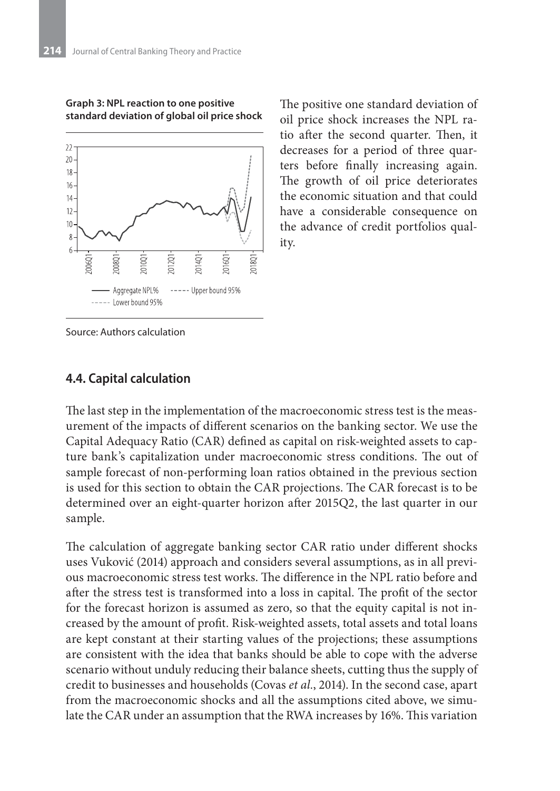

**Graph 3: NPL reaction to one positive standard deviation of global oil price shock** The positive one standard deviation of oil price shock increases the NPL ratio after the second quarter. Then, it decreases for a period of three quarters before finally increasing again. The growth of oil price deteriorates the economic situation and that could have a considerable consequence on the advance of credit portfolios quality.

Source: Authors calculation

#### **4.4. Capital calculation**

The last step in the implementation of the macroeconomic stress test is the measurement of the impacts of different scenarios on the banking sector. We use the Capital Adequacy Ratio (CAR) defined as capital on risk-weighted assets to capture bank's capitalization under macroeconomic stress conditions. The out of sample forecast of non-performing loan ratios obtained in the previous section is used for this section to obtain the CAR projections. The CAR forecast is to be determined over an eight-quarter horizon after 2015Q2, the last quarter in our sample.

The calculation of aggregate banking sector CAR ratio under different shocks uses Vuković (2014) approach and considers several assumptions, as in all previous macroeconomic stress test works. The difference in the NPL ratio before and after the stress test is transformed into a loss in capital. The profit of the sector for the forecast horizon is assumed as zero, so that the equity capital is not increased by the amount of profit. Risk-weighted assets, total assets and total loans are kept constant at their starting values of the projections; these assumptions are consistent with the idea that banks should be able to cope with the adverse scenario without unduly reducing their balance sheets, cutting thus the supply of credit to businesses and households (Covas *et al.*, 2014). In the second case, apart from the macroeconomic shocks and all the assumptions cited above, we simulate the CAR under an assumption that the RWA increases by 16%. This variation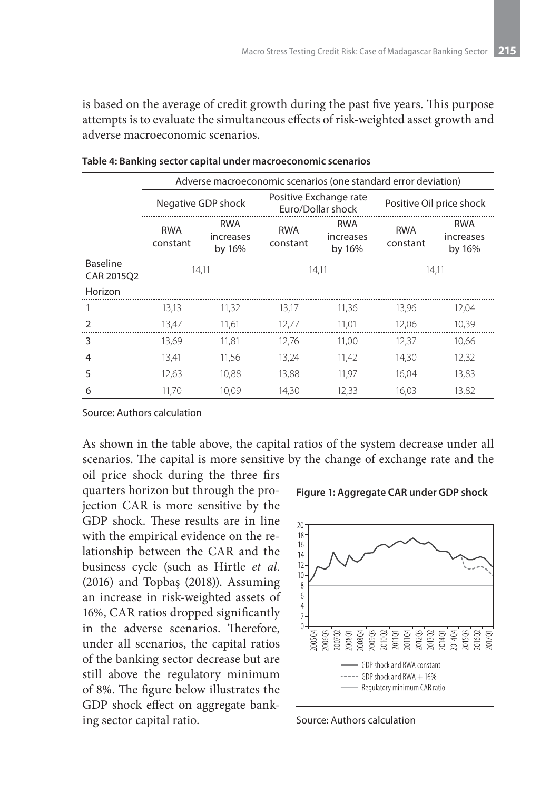is based on the average of credit growth during the past five years. This purpose attempts is to evaluate the simultaneous effects of risk-weighted asset growth and adverse macroeconomic scenarios.

|                               | Adverse macroeconomic scenarios (one standard error deviation) |                                   |                        |                                             |                          |                                   |
|-------------------------------|----------------------------------------------------------------|-----------------------------------|------------------------|---------------------------------------------|--------------------------|-----------------------------------|
|                               | Negative GDP shock                                             |                                   |                        | Positive Exchange rate<br>Euro/Dollar shock | Positive Oil price shock |                                   |
|                               | <b>RWA</b><br>constant                                         | <b>RWA</b><br>increases<br>by 16% | <b>RWA</b><br>constant | <b>RWA</b><br>increases<br>by 16%           | <b>RWA</b><br>constant   | <b>RWA</b><br>increases<br>by 16% |
| <b>Baseline</b><br>CAR 2015Q2 | 14,11                                                          |                                   | 14.11                  |                                             | 14.11                    |                                   |
| Horizon                       |                                                                |                                   |                        |                                             |                          |                                   |
|                               | 13,13                                                          | 11,32                             | 13,17                  | 11,36                                       | 13,96                    | 12,04                             |
| $\mathcal{P}$                 | 13,47                                                          | 11.61                             | 12.77                  | 11.01                                       | 12.06                    | 10,39                             |
| 3                             | 13.69                                                          | 11.81                             | 12.76                  | 11.00                                       | 12.37                    | 10.66                             |
| 4                             | 13,41                                                          | 11,56                             | 13,24                  | 11,42                                       | 14.30                    | 12,32                             |
| 5                             | 12.63                                                          | 10,88                             | 13.88                  | 11.97                                       | 16.04                    | 13,83                             |
| 6                             | 11.70                                                          | 10.09                             | 14.30                  | 12.33                                       | 16.03                    | 13.82                             |

**Table 4: Banking sector capital under macroeconomic scenarios**

Source: Authors calculation

As shown in the table above, the capital ratios of the system decrease under all scenarios. The capital is more sensitive by the change of exchange rate and the

oil price shock during the three firs quarters horizon but through the projection CAR is more sensitive by the GDP shock. These results are in line with the empirical evidence on the relationship between the CAR and the business cycle (such as Hirtle *et al*. (2016) and Topbaş (2018)). Assuming an increase in risk-weighted assets of 16%, CAR ratios dropped significantly in the adverse scenarios. Therefore, under all scenarios, the capital ratios of the banking sector decrease but are still above the regulatory minimum of 8%. The figure below illustrates the GDP shock effect on aggregate banking sector capital ratio.





Source: Authors calculation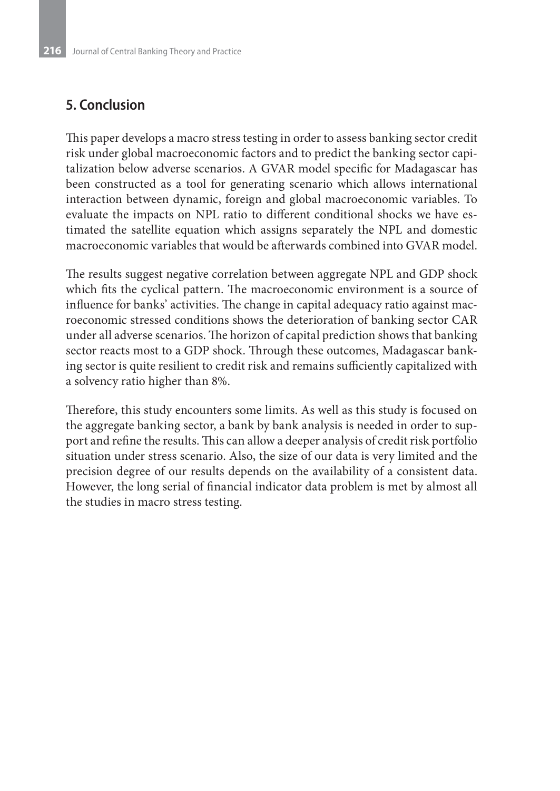## **5. Conclusion**

This paper develops a macro stress testing in order to assess banking sector credit risk under global macroeconomic factors and to predict the banking sector capitalization below adverse scenarios. A GVAR model specific for Madagascar has been constructed as a tool for generating scenario which allows international interaction between dynamic, foreign and global macroeconomic variables. To evaluate the impacts on NPL ratio to different conditional shocks we have estimated the satellite equation which assigns separately the NPL and domestic macroeconomic variables that would be afterwards combined into GVAR model.

The results suggest negative correlation between aggregate NPL and GDP shock which fits the cyclical pattern. The macroeconomic environment is a source of influence for banks' activities. The change in capital adequacy ratio against macroeconomic stressed conditions shows the deterioration of banking sector CAR under all adverse scenarios. The horizon of capital prediction shows that banking sector reacts most to a GDP shock. Through these outcomes, Madagascar banking sector is quite resilient to credit risk and remains sufficiently capitalized with a solvency ratio higher than 8%.

Therefore, this study encounters some limits. As well as this study is focused on the aggregate banking sector, a bank by bank analysis is needed in order to support and refine the results. This can allow a deeper analysis of credit risk portfolio situation under stress scenario. Also, the size of our data is very limited and the precision degree of our results depends on the availability of a consistent data. However, the long serial of financial indicator data problem is met by almost all the studies in macro stress testing.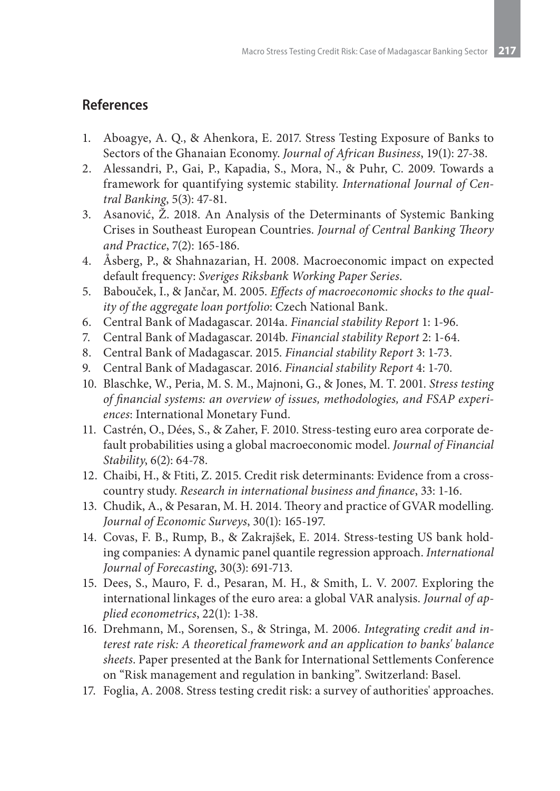### **References**

- 1. Aboagye, A. Q., & Ahenkora, E. 2017. Stress Testing Exposure of Banks to Sectors of the Ghanaian Economy. *Journal of African Business*, 19(1): 27-38.
- 2. Alessandri, P., Gai, P., Kapadia, S., Mora, N., & Puhr, C. 2009. Towards a framework for quantifying systemic stability. *International Journal of Central Banking*, 5(3): 47-81.
- 3. Asanović, Ž. 2018. An Analysis of the Determinants of Systemic Banking Crises in Southeast European Countries. *Journal of Central Banking Theory and Practice*, 7(2): 165-186.
- 4. Åsberg, P., & Shahnazarian, H. 2008. Macroeconomic impact on expected default frequency: *Sveriges Riksbank Working Paper Series*.
- 5. Babouček, I., & Jančar, M. 2005. *Effects of macroeconomic shocks to the quality of the aggregate loan portfolio*: Czech National Bank.
- 6. Central Bank of Madagascar. 2014a. *Financial stability Report* 1: 1-96.
- 7. Central Bank of Madagascar. 2014b. *Financial stability Report* 2: 1-64.
- 8. Central Bank of Madagascar. 2015. *Financial stability Report* 3: 1-73.
- 9. Central Bank of Madagascar. 2016. *Financial stability Report* 4: 1-70.
- 10. Blaschke, W., Peria, M. S. M., Majnoni, G., & Jones, M. T. 2001. *Stress testing of financial systems: an overview of issues, methodologies, and FSAP experiences*: International Monetary Fund.
- 11. Castrén, O., Dées, S., & Zaher, F. 2010. Stress-testing euro area corporate default probabilities using a global macroeconomic model. *Journal of Financial Stability*, 6(2): 64-78.
- 12. Chaibi, H., & Ftiti, Z. 2015. Credit risk determinants: Evidence from a crosscountry study. *Research in international business and finance*, 33: 1-16.
- 13. Chudik, A., & Pesaran, M. H. 2014. Theory and practice of GVAR modelling. *Journal of Economic Surveys*, 30(1): 165-197.
- 14. Covas, F. B., Rump, B., & Zakrajšek, E. 2014. Stress-testing US bank holding companies: A dynamic panel quantile regression approach. *International Journal of Forecasting*, 30(3): 691-713.
- 15. Dees, S., Mauro, F. d., Pesaran, M. H., & Smith, L. V. 2007. Exploring the international linkages of the euro area: a global VAR analysis. *Journal of applied econometrics*, 22(1): 1-38.
- 16. Drehmann, M., Sorensen, S., & Stringa, M. 2006. *Integrating credit and interest rate risk: A theoretical framework and an application to banks' balance sheets*. Paper presented at the Bank for International Settlements Conference on "Risk management and regulation in banking". Switzerland: Basel.
- 17. Foglia, A. 2008. Stress testing credit risk: a survey of authorities' approaches.